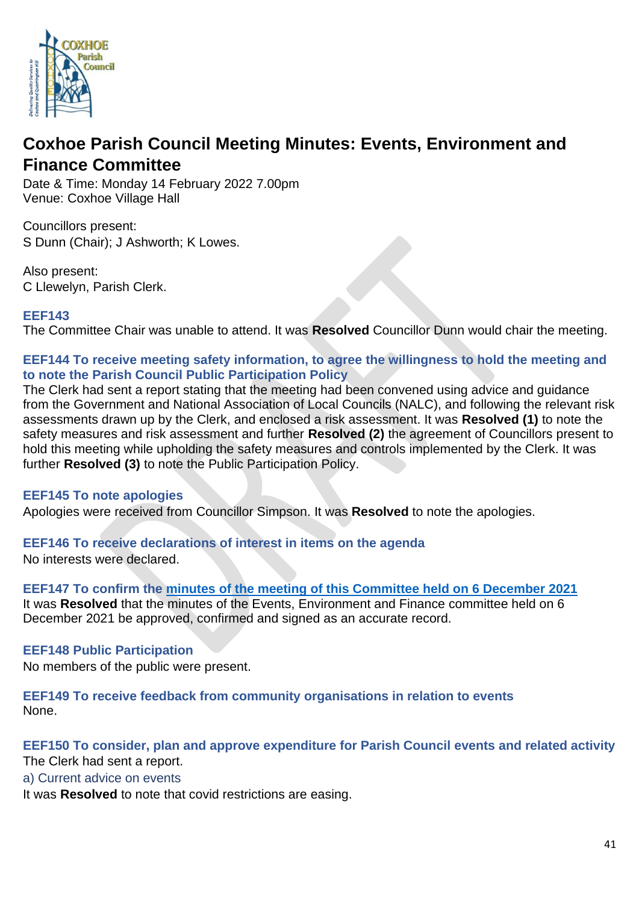

# **Coxhoe Parish Council Meeting Minutes: Events, Environment and Finance Committee**

Date & Time: Monday 14 February 2022 7.00pm Venue: Coxhoe Village Hall

Councillors present: S Dunn (Chair); J Ashworth; K Lowes.

Also present: C Llewelyn, Parish Clerk.

#### **EEF143**

The Committee Chair was unable to attend. It was **Resolved** Councillor Dunn would chair the meeting.

#### **EEF144 To receive meeting safety information, to agree the willingness to hold the meeting and to note the [Parish Council Public Participation Policy](http://coxhoeparishcouncil.gov.uk/important-documents-and-policies/public-participation-policy-fmarch-2020-review-date-march-2022/)**

The Clerk had sent a report stating that the meeting had been convened using advice and guidance from the Government and National Association of Local Councils (NALC), and following the relevant risk assessments drawn up by the Clerk, and enclosed a risk assessment. It was **Resolved (1)** to note the safety measures and risk assessment and further **Resolved (2)** the agreement of Councillors present to hold this meeting while upholding the safety measures and controls implemented by the Clerk. It was further **Resolved (3)** to note the Public Participation Policy.

# **EEF145 To note apologies**

Apologies were received from Councillor Simpson. It was **Resolved** to note the apologies.

**EEF146 To receive declarations of interest in items on the agenda** 

No interests were declared.

**EEF147 To confirm the [minutes of the meeting of this Committee held on 6 December 2021](https://1drv.ms/b/s!Alg_TKmu7xwUgd0hVxQ0iK4Hhzpgtg?e=WarPDL)** It was **Resolved** that the minutes of the Events, Environment and Finance committee held on 6 December 2021 be approved, confirmed and signed as an accurate record.

# **EEF148 Public Participation**

No members of the public were present.

**EEF149 To receive feedback from community organisations in relation to events** None.

# **EEF150 To consider, plan and approve expenditure for Parish Council events and related activity**  The Clerk had sent a report.

a) Current advice on events

It was **Resolved** to note that covid restrictions are easing.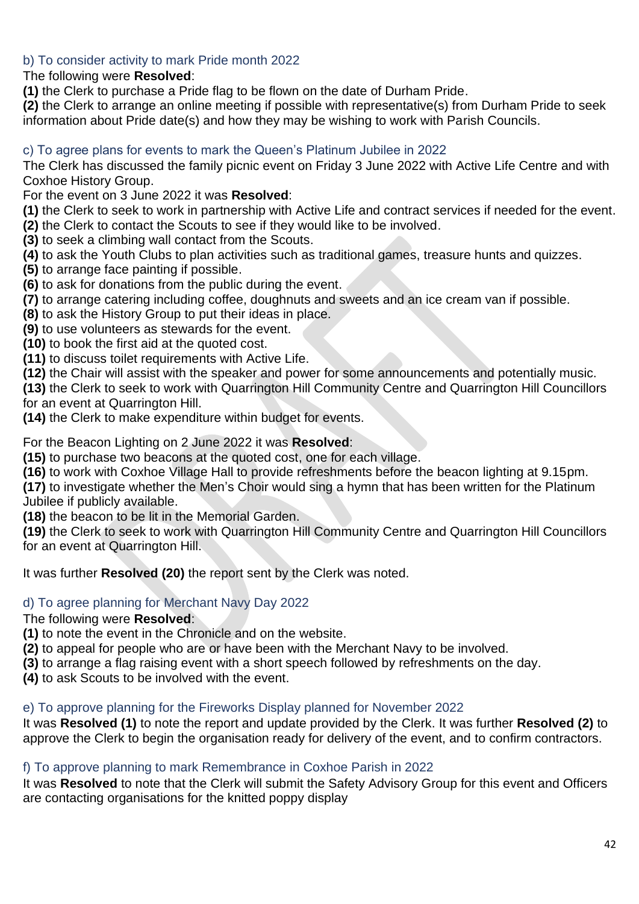# b) To consider activity to mark Pride month 2022

The following were **Resolved**:

**(1)** the Clerk to purchase a Pride flag to be flown on the date of Durham Pride.

**(2)** the Clerk to arrange an online meeting if possible with representative(s) from Durham Pride to seek information about Pride date(s) and how they may be wishing to work with Parish Councils.

# c) To agree plans for events to mark the Queen's Platinum Jubilee in 2022

The Clerk has discussed the family picnic event on Friday 3 June 2022 with Active Life Centre and with Coxhoe History Group.

For the event on 3 June 2022 it was **Resolved**:

**(1)** the Clerk to seek to work in partnership with Active Life and contract services if needed for the event.

**(2)** the Clerk to contact the Scouts to see if they would like to be involved.

- **(3)** to seek a climbing wall contact from the Scouts.
- **(4)** to ask the Youth Clubs to plan activities such as traditional games, treasure hunts and quizzes.
- **(5)** to arrange face painting if possible.
- **(6)** to ask for donations from the public during the event.
- **(7)** to arrange catering including coffee, doughnuts and sweets and an ice cream van if possible.

**(8)** to ask the History Group to put their ideas in place.

**(9)** to use volunteers as stewards for the event.

**(10)** to book the first aid at the quoted cost.

**(11)** to discuss toilet requirements with Active Life.

**(12)** the Chair will assist with the speaker and power for some announcements and potentially music.

**(13)** the Clerk to seek to work with Quarrington Hill Community Centre and Quarrington Hill Councillors for an event at Quarrington Hill.

**(14)** the Clerk to make expenditure within budget for events.

For the Beacon Lighting on 2 June 2022 it was **Resolved**:

**(15)** to purchase two beacons at the quoted cost, one for each village.

**(16)** to work with Coxhoe Village Hall to provide refreshments before the beacon lighting at 9.15pm.

**(17)** to investigate whether the Men's Choir would sing a hymn that has been written for the Platinum Jubilee if publicly available.

**(18)** the beacon to be lit in the Memorial Garden.

**(19)** the Clerk to seek to work with Quarrington Hill Community Centre and Quarrington Hill Councillors for an event at Quarrington Hill.

It was further **Resolved (20)** the report sent by the Clerk was noted.

# d) To agree planning for Merchant Navy Day 2022

# The following were **Resolved**:

**(1)** to note the event in the Chronicle and on the website.

**(2)** to appeal for people who are or have been with the Merchant Navy to be involved.

**(3)** to arrange a flag raising event with a short speech followed by refreshments on the day.

**(4)** to ask Scouts to be involved with the event.

# e) To approve planning for the Fireworks Display planned for November 2022

It was **Resolved (1)** to note the report and update provided by the Clerk. It was further **Resolved (2)** to approve the Clerk to begin the organisation ready for delivery of the event, and to confirm contractors.

# f) To approve planning to mark Remembrance in Coxhoe Parish in 2022

It was **Resolved** to note that the Clerk will submit the Safety Advisory Group for this event and Officers are contacting organisations for the knitted poppy display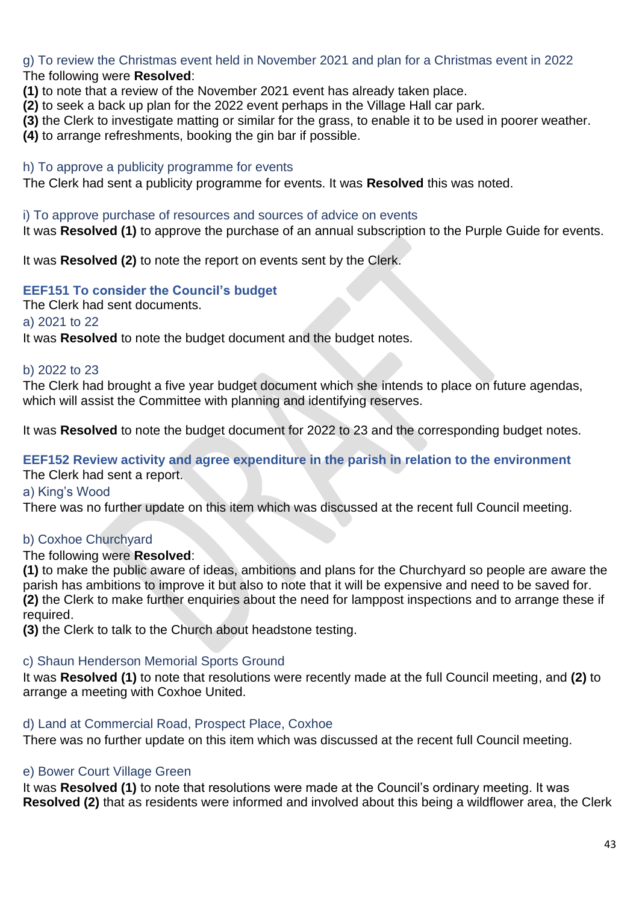g) To review the Christmas event held in November 2021 and plan for a Christmas event in 2022 The following were **Resolved**:

- **(1)** to note that a review of the November 2021 event has already taken place.
- **(2)** to seek a back up plan for the 2022 event perhaps in the Village Hall car park.
- **(3)** the Clerk to investigate matting or similar for the grass, to enable it to be used in poorer weather.
- **(4)** to arrange refreshments, booking the gin bar if possible.

#### h) To approve a publicity programme for events

The Clerk had sent a publicity programme for events. It was **Resolved** this was noted.

#### i) To approve purchase of resources and sources of advice on events

It was **Resolved (1)** to approve the purchase of an annual subscription to the Purple Guide for events.

It was **Resolved (2)** to note the report on events sent by the Clerk.

# **EEF151 To consider the Council's budget**

The Clerk had sent documents.

a) 2021 to 22

It was **Resolved** to note the budget document and the budget notes.

#### b) 2022 to 23

The Clerk had brought a five year budget document which she intends to place on future agendas, which will assist the Committee with planning and identifying reserves.

It was **Resolved** to note the budget document for 2022 to 23 and the corresponding budget notes.

# **EEF152 Review activity and agree expenditure in the parish in relation to the environment**

The Clerk had sent a report.

#### a) King's Wood

There was no further update on this item which was discussed at the recent full Council meeting.

# b) Coxhoe Churchyard

#### The following were **Resolved**:

**(1)** to make the public aware of ideas, ambitions and plans for the Churchyard so people are aware the parish has ambitions to improve it but also to note that it will be expensive and need to be saved for. **(2)** the Clerk to make further enquiries about the need for lamppost inspections and to arrange these if required.

**(3)** the Clerk to talk to the Church about headstone testing.

#### c) Shaun Henderson Memorial Sports Ground

It was **Resolved (1)** to note that resolutions were recently made at the full Council meeting, and **(2)** to arrange a meeting with Coxhoe United.

#### d) Land at Commercial Road, Prospect Place, Coxhoe

There was no further update on this item which was discussed at the recent full Council meeting.

# e) Bower Court Village Green

It was **Resolved (1)** to note that resolutions were made at the Council's ordinary meeting. It was **Resolved (2)** that as residents were informed and involved about this being a wildflower area, the Clerk